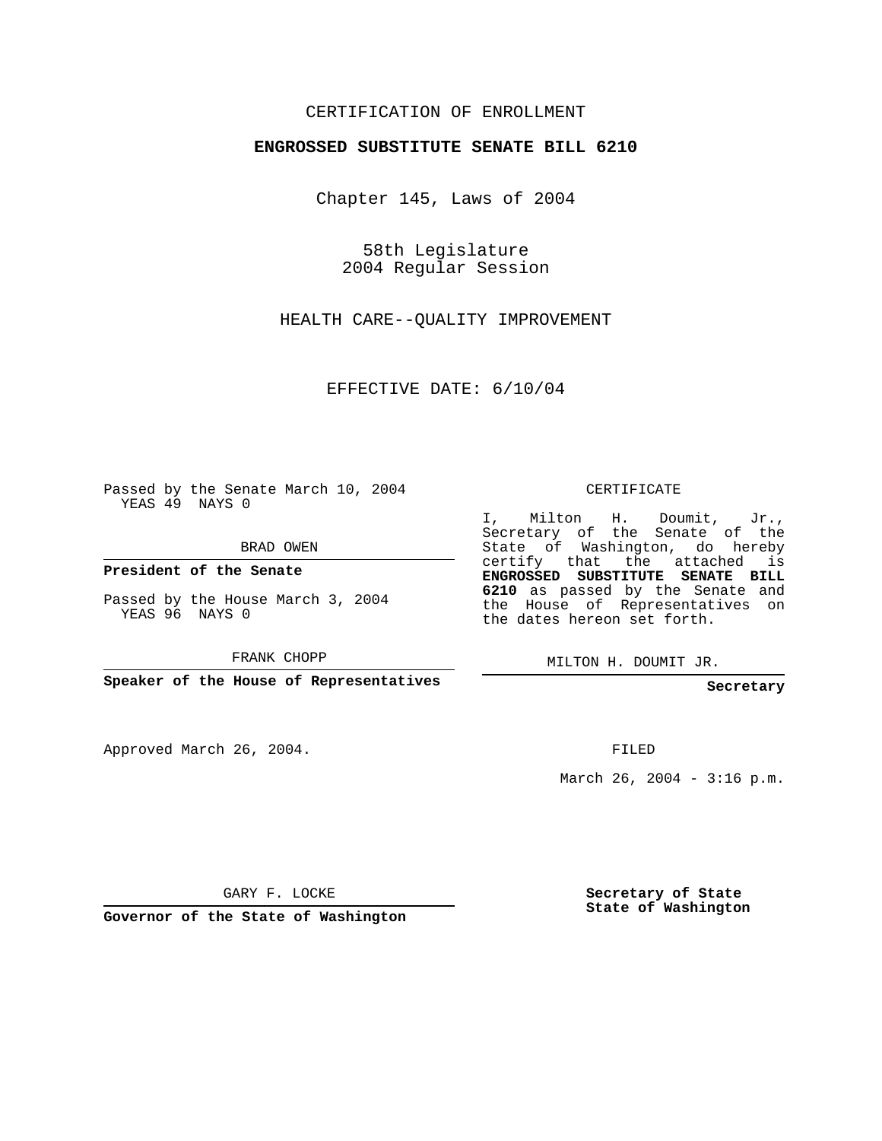## CERTIFICATION OF ENROLLMENT

## **ENGROSSED SUBSTITUTE SENATE BILL 6210**

Chapter 145, Laws of 2004

58th Legislature 2004 Regular Session

HEALTH CARE--QUALITY IMPROVEMENT

EFFECTIVE DATE: 6/10/04

Passed by the Senate March 10, 2004 YEAS 49 NAYS 0

BRAD OWEN

**President of the Senate**

Passed by the House March 3, 2004 YEAS 96 NAYS 0

FRANK CHOPP

**Speaker of the House of Representatives**

Approved March 26, 2004.

CERTIFICATE

I, Milton H. Doumit, Jr., Secretary of the Senate of the State of Washington, do hereby certify that the attached is **ENGROSSED SUBSTITUTE SENATE BILL 6210** as passed by the Senate and the House of Representatives on the dates hereon set forth.

MILTON H. DOUMIT JR.

**Secretary**

FILED

March 26, 2004 - 3:16 p.m.

GARY F. LOCKE

**Governor of the State of Washington**

**Secretary of State State of Washington**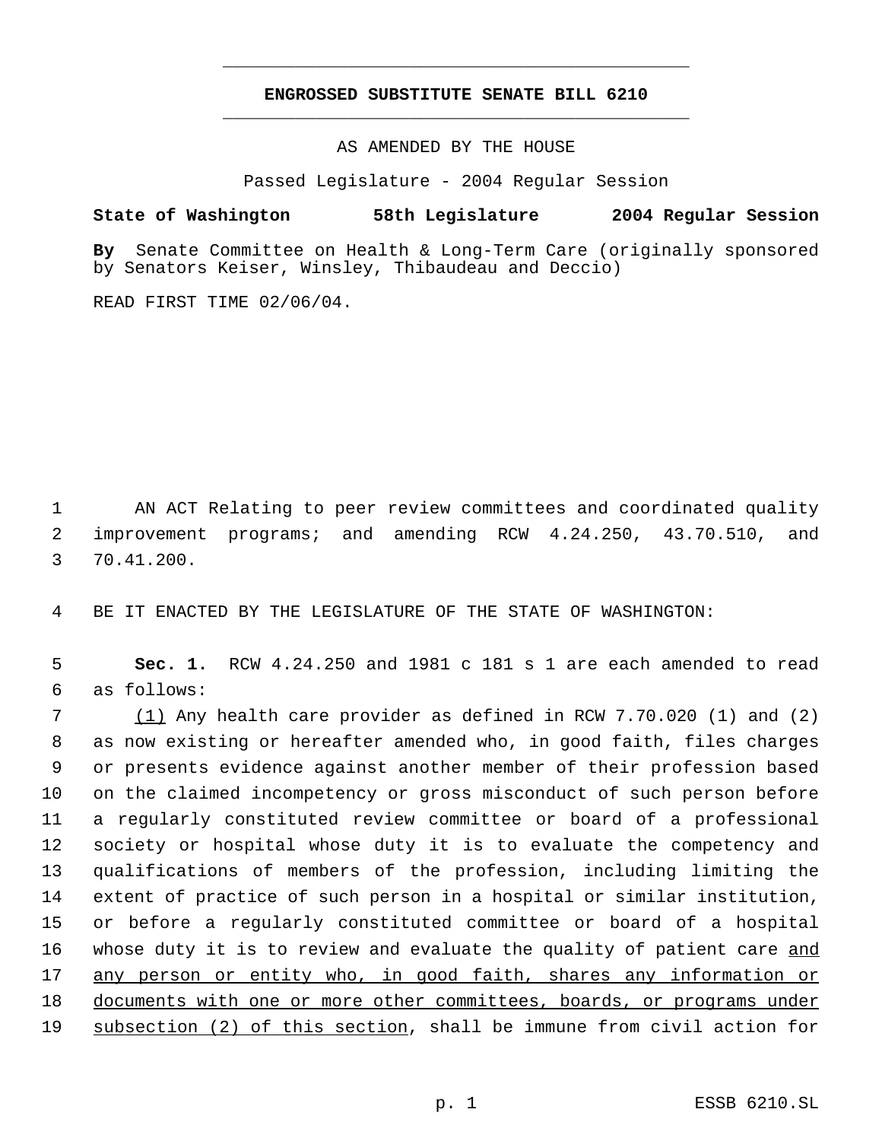## **ENGROSSED SUBSTITUTE SENATE BILL 6210** \_\_\_\_\_\_\_\_\_\_\_\_\_\_\_\_\_\_\_\_\_\_\_\_\_\_\_\_\_\_\_\_\_\_\_\_\_\_\_\_\_\_\_\_\_

\_\_\_\_\_\_\_\_\_\_\_\_\_\_\_\_\_\_\_\_\_\_\_\_\_\_\_\_\_\_\_\_\_\_\_\_\_\_\_\_\_\_\_\_\_

AS AMENDED BY THE HOUSE

Passed Legislature - 2004 Regular Session

## **State of Washington 58th Legislature 2004 Regular Session**

**By** Senate Committee on Health & Long-Term Care (originally sponsored by Senators Keiser, Winsley, Thibaudeau and Deccio)

READ FIRST TIME 02/06/04.

 1 AN ACT Relating to peer review committees and coordinated quality 2 improvement programs; and amending RCW 4.24.250, 43.70.510, and 3 70.41.200.

4 BE IT ENACTED BY THE LEGISLATURE OF THE STATE OF WASHINGTON:

 5 **Sec. 1.** RCW 4.24.250 and 1981 c 181 s 1 are each amended to read 6 as follows:

 $7 \qquad (1)$  Any health care provider as defined in RCW 7.70.020 (1) and (2) as now existing or hereafter amended who, in good faith, files charges or presents evidence against another member of their profession based on the claimed incompetency or gross misconduct of such person before a regularly constituted review committee or board of a professional society or hospital whose duty it is to evaluate the competency and qualifications of members of the profession, including limiting the extent of practice of such person in a hospital or similar institution, or before a regularly constituted committee or board of a hospital 16 whose duty it is to review and evaluate the quality of patient care and any person or entity who, in good faith, shares any information or 18 documents with one or more other committees, boards, or programs under 19 subsection (2) of this section, shall be immune from civil action for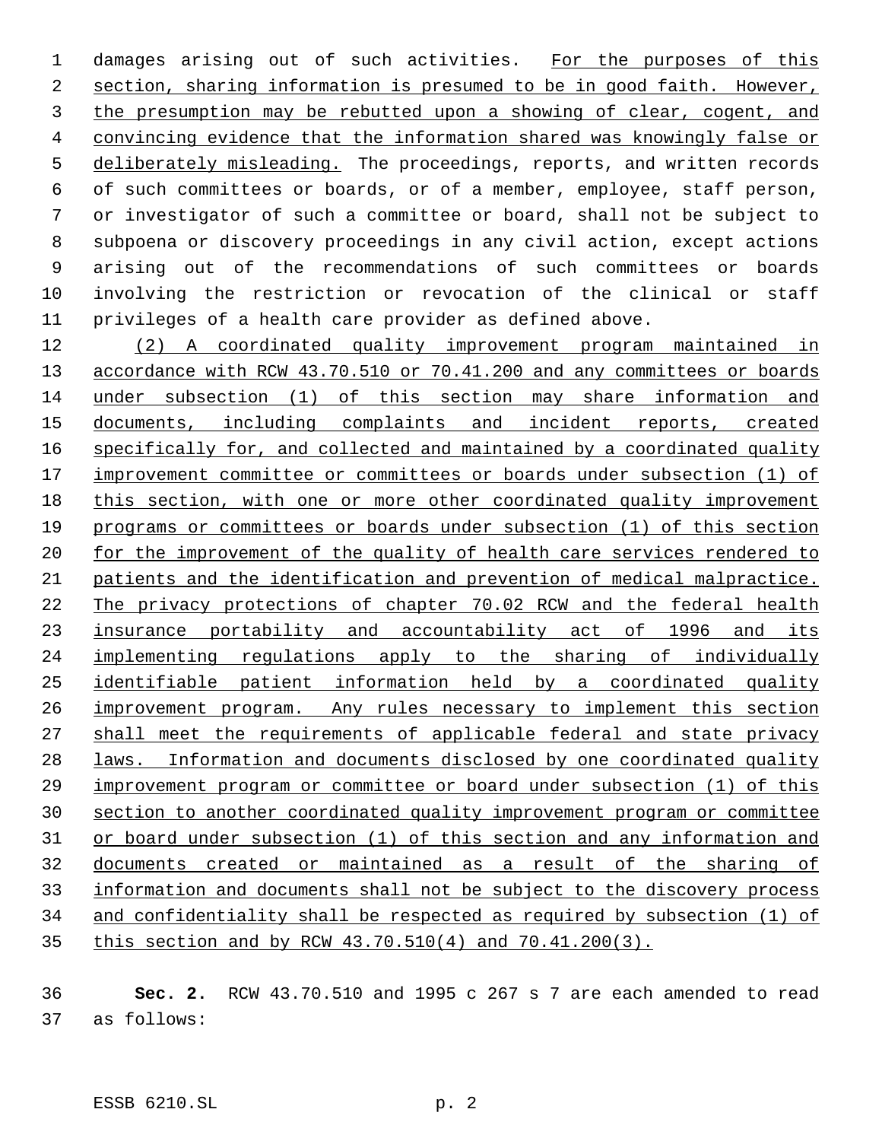1 damages arising out of such activities. For the purposes of this section, sharing information is presumed to be in good faith. However, the presumption may be rebutted upon a showing of clear, cogent, and convincing evidence that the information shared was knowingly false or 5 deliberately misleading. The proceedings, reports, and written records of such committees or boards, or of a member, employee, staff person, or investigator of such a committee or board, shall not be subject to subpoena or discovery proceedings in any civil action, except actions arising out of the recommendations of such committees or boards involving the restriction or revocation of the clinical or staff privileges of a health care provider as defined above.

 (2) A coordinated quality improvement program maintained in 13 accordance with RCW 43.70.510 or 70.41.200 and any committees or boards under subsection (1) of this section may share information and documents, including complaints and incident reports, created 16 specifically for, and collected and maintained by a coordinated quality 17 improvement committee or committees or boards under subsection (1) of this section, with one or more other coordinated quality improvement programs or committees or boards under subsection (1) of this section 20 for the improvement of the quality of health care services rendered to patients and the identification and prevention of medical malpractice. The privacy protections of chapter 70.02 RCW and the federal health 23 insurance portability and accountability act of 1996 and its implementing regulations apply to the sharing of individually identifiable patient information held by a coordinated quality 26 improvement program. Any rules necessary to implement this section shall meet the requirements of applicable federal and state privacy laws. Information and documents disclosed by one coordinated quality improvement program or committee or board under subsection (1) of this section to another coordinated quality improvement program or committee or board under subsection (1) of this section and any information and documents created or maintained as a result of the sharing of information and documents shall not be subject to the discovery process and confidentiality shall be respected as required by subsection (1) of this section and by RCW 43.70.510(4) and 70.41.200(3).

 **Sec. 2.** RCW 43.70.510 and 1995 c 267 s 7 are each amended to read as follows: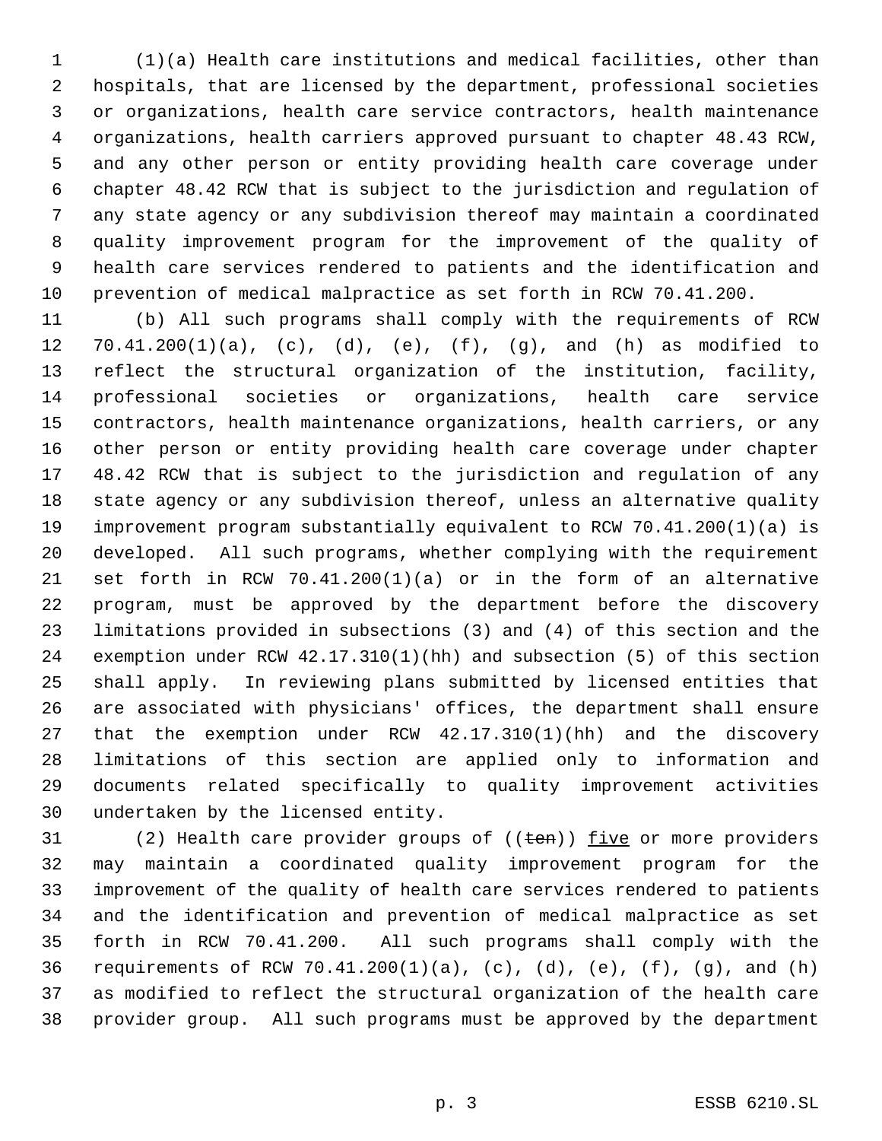(1)(a) Health care institutions and medical facilities, other than hospitals, that are licensed by the department, professional societies or organizations, health care service contractors, health maintenance organizations, health carriers approved pursuant to chapter 48.43 RCW, and any other person or entity providing health care coverage under chapter 48.42 RCW that is subject to the jurisdiction and regulation of any state agency or any subdivision thereof may maintain a coordinated quality improvement program for the improvement of the quality of health care services rendered to patients and the identification and prevention of medical malpractice as set forth in RCW 70.41.200.

 (b) All such programs shall comply with the requirements of RCW 70.41.200(1)(a), (c), (d), (e), (f), (g), and (h) as modified to reflect the structural organization of the institution, facility, professional societies or organizations, health care service contractors, health maintenance organizations, health carriers, or any other person or entity providing health care coverage under chapter 48.42 RCW that is subject to the jurisdiction and regulation of any state agency or any subdivision thereof, unless an alternative quality improvement program substantially equivalent to RCW 70.41.200(1)(a) is developed. All such programs, whether complying with the requirement set forth in RCW 70.41.200(1)(a) or in the form of an alternative program, must be approved by the department before the discovery limitations provided in subsections (3) and (4) of this section and the exemption under RCW 42.17.310(1)(hh) and subsection (5) of this section shall apply. In reviewing plans submitted by licensed entities that are associated with physicians' offices, the department shall ensure that the exemption under RCW 42.17.310(1)(hh) and the discovery limitations of this section are applied only to information and documents related specifically to quality improvement activities undertaken by the licensed entity.

31 (2) Health care provider groups of  $((ten))$  five or more providers may maintain a coordinated quality improvement program for the improvement of the quality of health care services rendered to patients and the identification and prevention of medical malpractice as set forth in RCW 70.41.200. All such programs shall comply with the requirements of RCW 70.41.200(1)(a), (c), (d), (e), (f), (g), and (h) as modified to reflect the structural organization of the health care provider group. All such programs must be approved by the department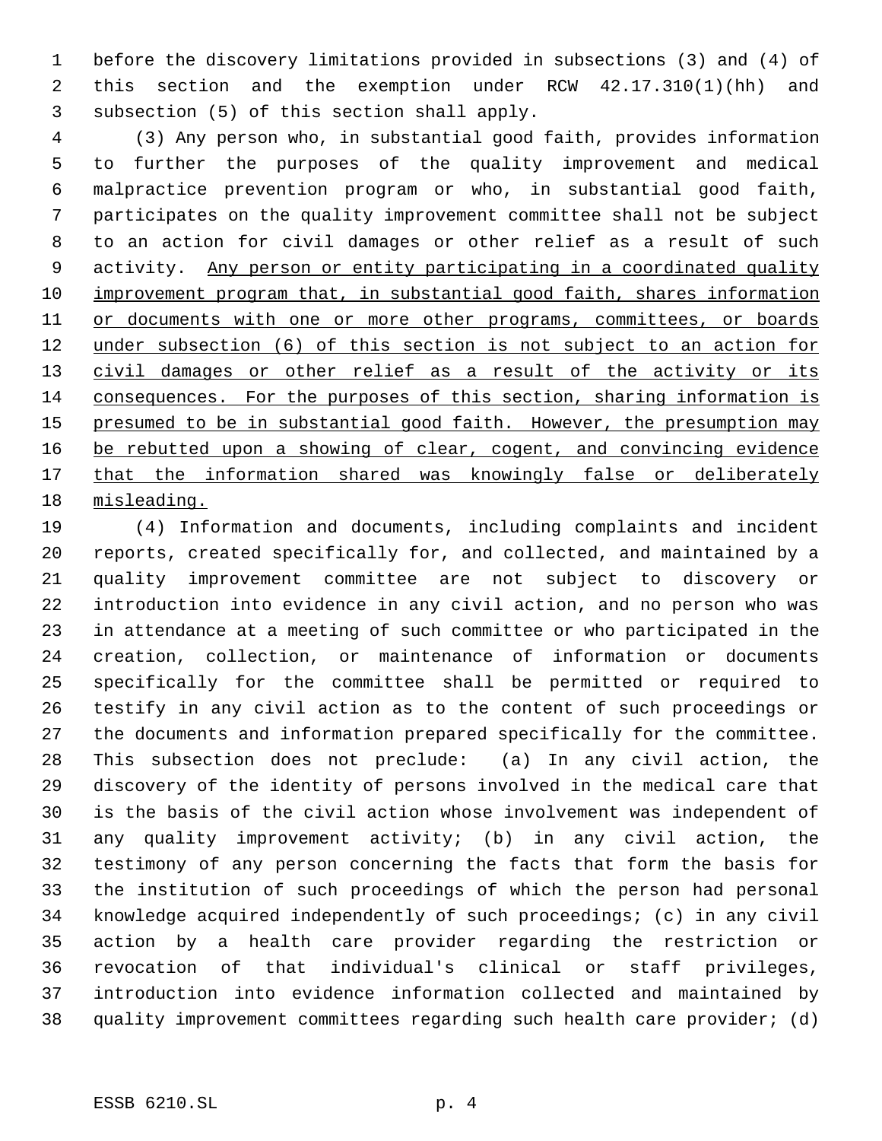before the discovery limitations provided in subsections (3) and (4) of this section and the exemption under RCW 42.17.310(1)(hh) and subsection (5) of this section shall apply.

 (3) Any person who, in substantial good faith, provides information to further the purposes of the quality improvement and medical malpractice prevention program or who, in substantial good faith, participates on the quality improvement committee shall not be subject to an action for civil damages or other relief as a result of such activity. Any person or entity participating in a coordinated quality 10 improvement program that, in substantial good faith, shares information 11 or documents with one or more other programs, committees, or boards under subsection (6) of this section is not subject to an action for 13 civil damages or other relief as a result of the activity or its consequences. For the purposes of this section, sharing information is 15 presumed to be in substantial good faith. However, the presumption may 16 be rebutted upon a showing of clear, cogent, and convincing evidence 17 that the information shared was knowingly false or deliberately misleading.

 (4) Information and documents, including complaints and incident reports, created specifically for, and collected, and maintained by a quality improvement committee are not subject to discovery or introduction into evidence in any civil action, and no person who was in attendance at a meeting of such committee or who participated in the creation, collection, or maintenance of information or documents specifically for the committee shall be permitted or required to testify in any civil action as to the content of such proceedings or the documents and information prepared specifically for the committee. This subsection does not preclude: (a) In any civil action, the discovery of the identity of persons involved in the medical care that is the basis of the civil action whose involvement was independent of any quality improvement activity; (b) in any civil action, the testimony of any person concerning the facts that form the basis for the institution of such proceedings of which the person had personal knowledge acquired independently of such proceedings; (c) in any civil action by a health care provider regarding the restriction or revocation of that individual's clinical or staff privileges, introduction into evidence information collected and maintained by quality improvement committees regarding such health care provider; (d)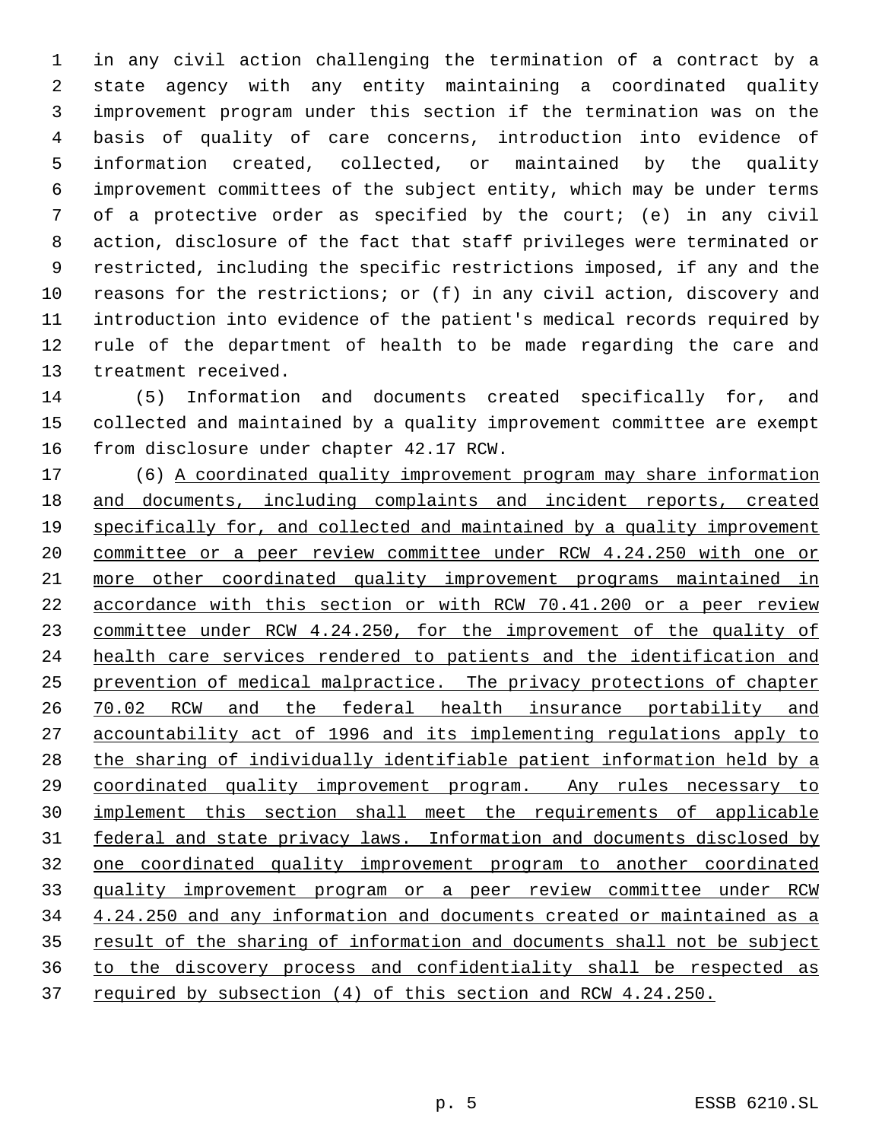in any civil action challenging the termination of a contract by a state agency with any entity maintaining a coordinated quality improvement program under this section if the termination was on the basis of quality of care concerns, introduction into evidence of information created, collected, or maintained by the quality improvement committees of the subject entity, which may be under terms of a protective order as specified by the court; (e) in any civil action, disclosure of the fact that staff privileges were terminated or restricted, including the specific restrictions imposed, if any and the reasons for the restrictions; or (f) in any civil action, discovery and introduction into evidence of the patient's medical records required by rule of the department of health to be made regarding the care and treatment received.

 (5) Information and documents created specifically for, and collected and maintained by a quality improvement committee are exempt from disclosure under chapter 42.17 RCW.

 (6) A coordinated quality improvement program may share information and documents, including complaints and incident reports, created specifically for, and collected and maintained by a quality improvement committee or a peer review committee under RCW 4.24.250 with one or more other coordinated quality improvement programs maintained in accordance with this section or with RCW 70.41.200 or a peer review committee under RCW 4.24.250, for the improvement of the quality of health care services rendered to patients and the identification and prevention of medical malpractice. The privacy protections of chapter 70.02 RCW and the federal health insurance portability and accountability act of 1996 and its implementing regulations apply to the sharing of individually identifiable patient information held by a 29 coordinated quality improvement program. Any rules necessary to implement this section shall meet the requirements of applicable 31 federal and state privacy laws. Information and documents disclosed by one coordinated quality improvement program to another coordinated quality improvement program or a peer review committee under RCW 4.24.250 and any information and documents created or maintained as a 35 result of the sharing of information and documents shall not be subject to the discovery process and confidentiality shall be respected as 37 required by subsection (4) of this section and RCW 4.24.250.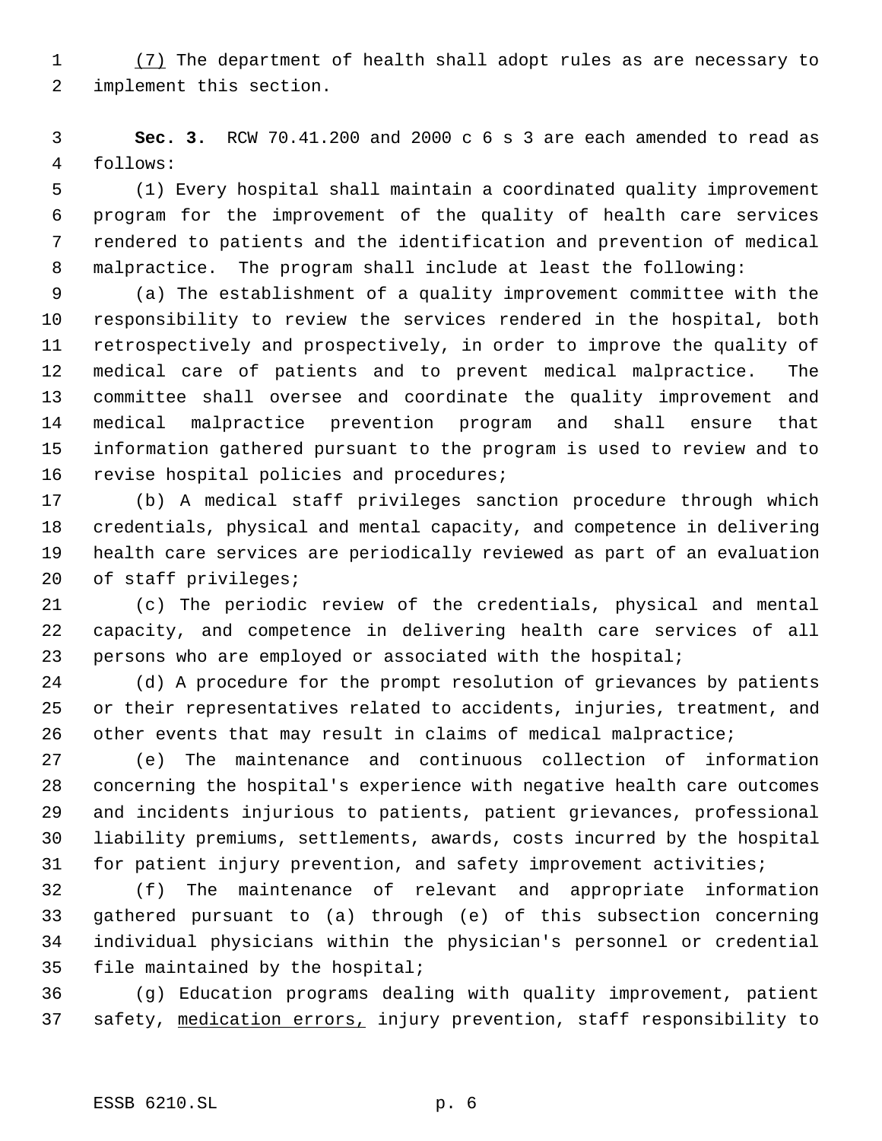(7) The department of health shall adopt rules as are necessary to implement this section.

 **Sec. 3.** RCW 70.41.200 and 2000 c 6 s 3 are each amended to read as follows:

 (1) Every hospital shall maintain a coordinated quality improvement program for the improvement of the quality of health care services rendered to patients and the identification and prevention of medical malpractice. The program shall include at least the following:

 (a) The establishment of a quality improvement committee with the responsibility to review the services rendered in the hospital, both retrospectively and prospectively, in order to improve the quality of medical care of patients and to prevent medical malpractice. The committee shall oversee and coordinate the quality improvement and medical malpractice prevention program and shall ensure that information gathered pursuant to the program is used to review and to revise hospital policies and procedures;

 (b) A medical staff privileges sanction procedure through which credentials, physical and mental capacity, and competence in delivering health care services are periodically reviewed as part of an evaluation of staff privileges;

 (c) The periodic review of the credentials, physical and mental capacity, and competence in delivering health care services of all persons who are employed or associated with the hospital;

 (d) A procedure for the prompt resolution of grievances by patients or their representatives related to accidents, injuries, treatment, and other events that may result in claims of medical malpractice;

 (e) The maintenance and continuous collection of information concerning the hospital's experience with negative health care outcomes and incidents injurious to patients, patient grievances, professional liability premiums, settlements, awards, costs incurred by the hospital for patient injury prevention, and safety improvement activities;

 (f) The maintenance of relevant and appropriate information gathered pursuant to (a) through (e) of this subsection concerning individual physicians within the physician's personnel or credential file maintained by the hospital;

 (g) Education programs dealing with quality improvement, patient 37 safety, medication errors, injury prevention, staff responsibility to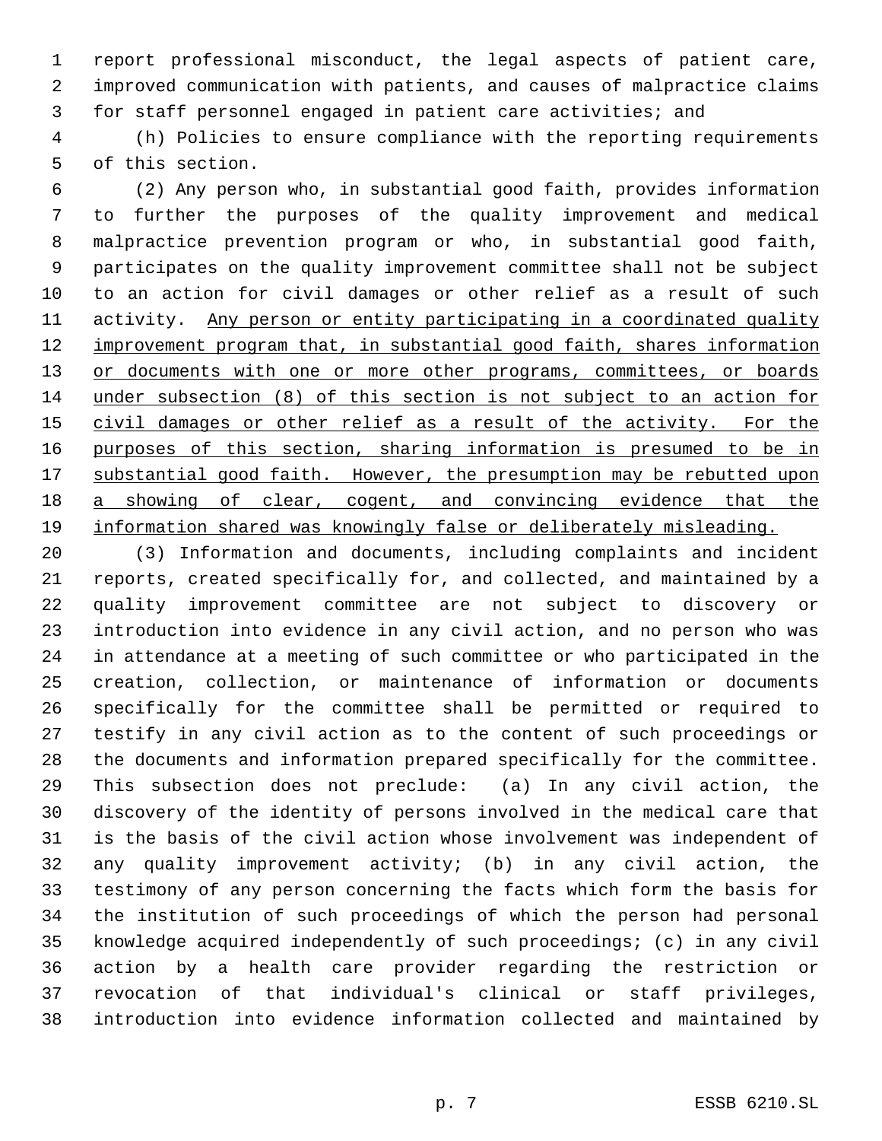report professional misconduct, the legal aspects of patient care, improved communication with patients, and causes of malpractice claims for staff personnel engaged in patient care activities; and

 (h) Policies to ensure compliance with the reporting requirements of this section.

 (2) Any person who, in substantial good faith, provides information to further the purposes of the quality improvement and medical malpractice prevention program or who, in substantial good faith, participates on the quality improvement committee shall not be subject to an action for civil damages or other relief as a result of such 11 activity. Any person or entity participating in a coordinated quality 12 improvement program that, in substantial good faith, shares information 13 or documents with one or more other programs, committees, or boards under subsection (8) of this section is not subject to an action for 15 civil damages or other relief as a result of the activity. For the purposes of this section, sharing information is presumed to be in 17 substantial good faith. However, the presumption may be rebutted upon 18 a showing of clear, cogent, and convincing evidence that the information shared was knowingly false or deliberately misleading.

 (3) Information and documents, including complaints and incident reports, created specifically for, and collected, and maintained by a quality improvement committee are not subject to discovery or introduction into evidence in any civil action, and no person who was in attendance at a meeting of such committee or who participated in the creation, collection, or maintenance of information or documents specifically for the committee shall be permitted or required to testify in any civil action as to the content of such proceedings or the documents and information prepared specifically for the committee. This subsection does not preclude: (a) In any civil action, the discovery of the identity of persons involved in the medical care that is the basis of the civil action whose involvement was independent of any quality improvement activity; (b) in any civil action, the testimony of any person concerning the facts which form the basis for the institution of such proceedings of which the person had personal knowledge acquired independently of such proceedings; (c) in any civil action by a health care provider regarding the restriction or revocation of that individual's clinical or staff privileges, introduction into evidence information collected and maintained by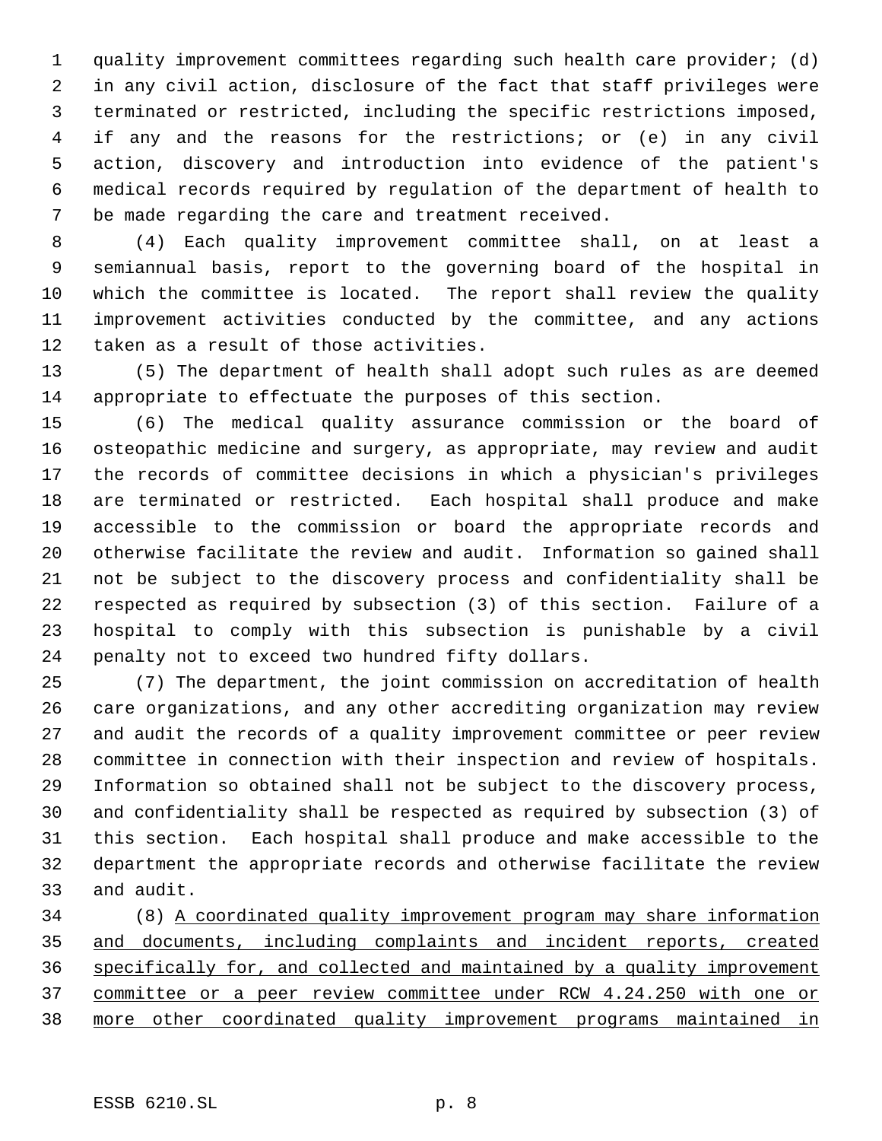quality improvement committees regarding such health care provider; (d) in any civil action, disclosure of the fact that staff privileges were terminated or restricted, including the specific restrictions imposed, if any and the reasons for the restrictions; or (e) in any civil action, discovery and introduction into evidence of the patient's medical records required by regulation of the department of health to be made regarding the care and treatment received.

 (4) Each quality improvement committee shall, on at least a semiannual basis, report to the governing board of the hospital in which the committee is located. The report shall review the quality improvement activities conducted by the committee, and any actions taken as a result of those activities.

 (5) The department of health shall adopt such rules as are deemed appropriate to effectuate the purposes of this section.

 (6) The medical quality assurance commission or the board of osteopathic medicine and surgery, as appropriate, may review and audit the records of committee decisions in which a physician's privileges are terminated or restricted. Each hospital shall produce and make accessible to the commission or board the appropriate records and otherwise facilitate the review and audit. Information so gained shall not be subject to the discovery process and confidentiality shall be respected as required by subsection (3) of this section. Failure of a hospital to comply with this subsection is punishable by a civil penalty not to exceed two hundred fifty dollars.

 (7) The department, the joint commission on accreditation of health care organizations, and any other accrediting organization may review and audit the records of a quality improvement committee or peer review committee in connection with their inspection and review of hospitals. Information so obtained shall not be subject to the discovery process, and confidentiality shall be respected as required by subsection (3) of this section. Each hospital shall produce and make accessible to the department the appropriate records and otherwise facilitate the review and audit.

 (8) A coordinated quality improvement program may share information and documents, including complaints and incident reports, created specifically for, and collected and maintained by a quality improvement committee or a peer review committee under RCW 4.24.250 with one or more other coordinated quality improvement programs maintained in